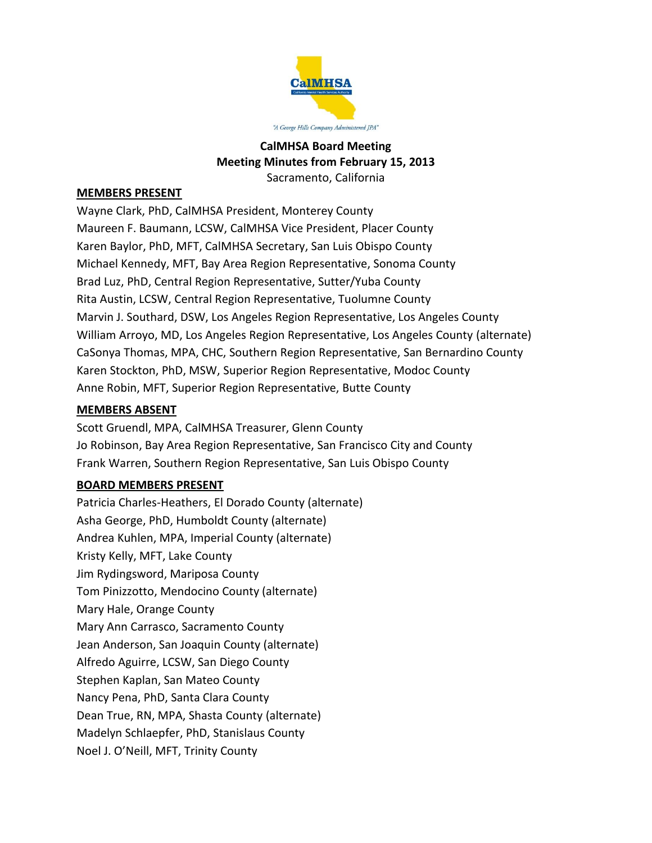

# **CalMHSA Board Meeting Meeting Minutes from February 15, 2013** Sacramento, California

## **MEMBERS PRESENT**

Wayne Clark, PhD, CalMHSA President, Monterey County Maureen F. Baumann, LCSW, CalMHSA Vice President, Placer County Karen Baylor, PhD, MFT, CalMHSA Secretary, San Luis Obispo County Michael Kennedy, MFT, Bay Area Region Representative, Sonoma County Brad Luz, PhD, Central Region Representative, Sutter/Yuba County Rita Austin, LCSW, Central Region Representative, Tuolumne County Marvin J. Southard, DSW, Los Angeles Region Representative, Los Angeles County William Arroyo, MD, Los Angeles Region Representative, Los Angeles County (alternate) CaSonya Thomas, MPA, CHC, Southern Region Representative, San Bernardino County Karen Stockton, PhD, MSW, Superior Region Representative, Modoc County Anne Robin, MFT, Superior Region Representative, Butte County

### **MEMBERS ABSENT**

Scott Gruendl, MPA, CalMHSA Treasurer, Glenn County Jo Robinson, Bay Area Region Representative, San Francisco City and County Frank Warren, Southern Region Representative, San Luis Obispo County

## **BOARD MEMBERS PRESENT**

Patricia Charles-Heathers, El Dorado County (alternate) Asha George, PhD, Humboldt County (alternate) Andrea Kuhlen, MPA, Imperial County (alternate) Kristy Kelly, MFT, Lake County Jim Rydingsword, Mariposa County Tom Pinizzotto, Mendocino County (alternate) Mary Hale, Orange County Mary Ann Carrasco, Sacramento County Jean Anderson, San Joaquin County (alternate) Alfredo Aguirre, LCSW, San Diego County Stephen Kaplan, San Mateo County Nancy Pena, PhD, Santa Clara County Dean True, RN, MPA, Shasta County (alternate) Madelyn Schlaepfer, PhD, Stanislaus County Noel J. O'Neill, MFT, Trinity County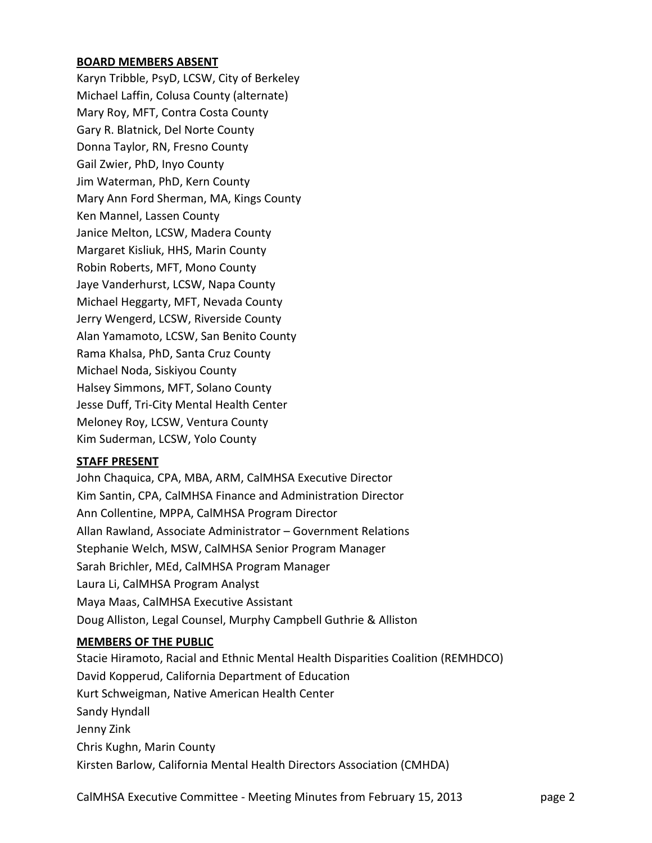# **BOARD MEMBERS ABSENT**

Karyn Tribble, PsyD, LCSW, City of Berkeley Michael Laffin, Colusa County (alternate) Mary Roy, MFT, Contra Costa County Gary R. Blatnick, Del Norte County Donna Taylor, RN, Fresno County Gail Zwier, PhD, Inyo County Jim Waterman, PhD, Kern County Mary Ann Ford Sherman, MA, Kings County Ken Mannel, Lassen County Janice Melton, LCSW, Madera County Margaret Kisliuk, HHS, Marin County Robin Roberts, MFT, Mono County Jaye Vanderhurst, LCSW, Napa County Michael Heggarty, MFT, Nevada County Jerry Wengerd, LCSW, Riverside County Alan Yamamoto, LCSW, San Benito County Rama Khalsa, PhD, Santa Cruz County Michael Noda, Siskiyou County Halsey Simmons, MFT, Solano County Jesse Duff, Tri-City Mental Health Center Meloney Roy, LCSW, Ventura County Kim Suderman, LCSW, Yolo County

## **STAFF PRESENT**

John Chaquica, CPA, MBA, ARM, CalMHSA Executive Director Kim Santin, CPA, CalMHSA Finance and Administration Director Ann Collentine, MPPA, CalMHSA Program Director Allan Rawland, Associate Administrator – Government Relations Stephanie Welch, MSW, CalMHSA Senior Program Manager Sarah Brichler, MEd, CalMHSA Program Manager Laura Li, CalMHSA Program Analyst Maya Maas, CalMHSA Executive Assistant Doug Alliston, Legal Counsel, Murphy Campbell Guthrie & Alliston

#### **MEMBERS OF THE PUBLIC**

Stacie Hiramoto, Racial and Ethnic Mental Health Disparities Coalition (REMHDCO) David Kopperud, California Department of Education Kurt Schweigman, Native American Health Center Sandy Hyndall Jenny Zink Chris Kughn, Marin County Kirsten Barlow, California Mental Health Directors Association (CMHDA)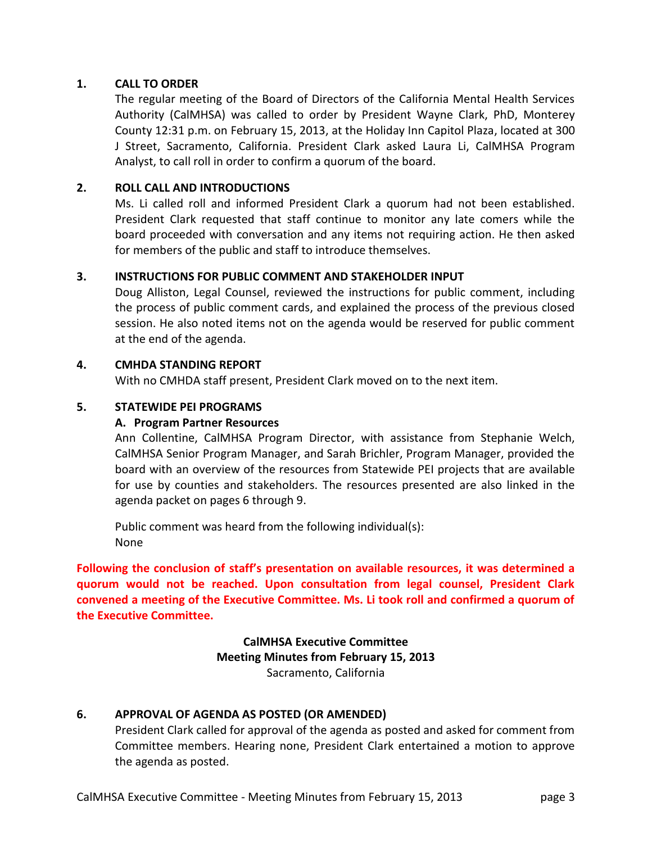# **1. CALL TO ORDER**

The regular meeting of the Board of Directors of the California Mental Health Services Authority (CalMHSA) was called to order by President Wayne Clark, PhD, Monterey County 12:31 p.m. on February 15, 2013, at the Holiday Inn Capitol Plaza, located at 300 J Street, Sacramento, California. President Clark asked Laura Li, CalMHSA Program Analyst, to call roll in order to confirm a quorum of the board.

# **2. ROLL CALL AND INTRODUCTIONS**

Ms. Li called roll and informed President Clark a quorum had not been established. President Clark requested that staff continue to monitor any late comers while the board proceeded with conversation and any items not requiring action. He then asked for members of the public and staff to introduce themselves.

# **3. INSTRUCTIONS FOR PUBLIC COMMENT AND STAKEHOLDER INPUT**

Doug Alliston, Legal Counsel, reviewed the instructions for public comment, including the process of public comment cards, and explained the process of the previous closed session. He also noted items not on the agenda would be reserved for public comment at the end of the agenda.

# **4. CMHDA STANDING REPORT**

With no CMHDA staff present, President Clark moved on to the next item.

# **5. STATEWIDE PEI PROGRAMS**

# **A. Program Partner Resources**

Ann Collentine, CalMHSA Program Director, with assistance from Stephanie Welch, CalMHSA Senior Program Manager, and Sarah Brichler, Program Manager, provided the board with an overview of the resources from Statewide PEI projects that are available for use by counties and stakeholders. The resources presented are also linked in the agenda packet on pages 6 through 9.

Public comment was heard from the following individual(s): None

**Following the conclusion of staff's presentation on available resources, it was determined a quorum would not be reached. Upon consultation from legal counsel, President Clark convened a meeting of the Executive Committee. Ms. Li took roll and confirmed a quorum of the Executive Committee.**

> **CalMHSA Executive Committee Meeting Minutes from February 15, 2013** Sacramento, California

## **6. APPROVAL OF AGENDA AS POSTED (OR AMENDED)**

President Clark called for approval of the agenda as posted and asked for comment from Committee members. Hearing none, President Clark entertained a motion to approve the agenda as posted.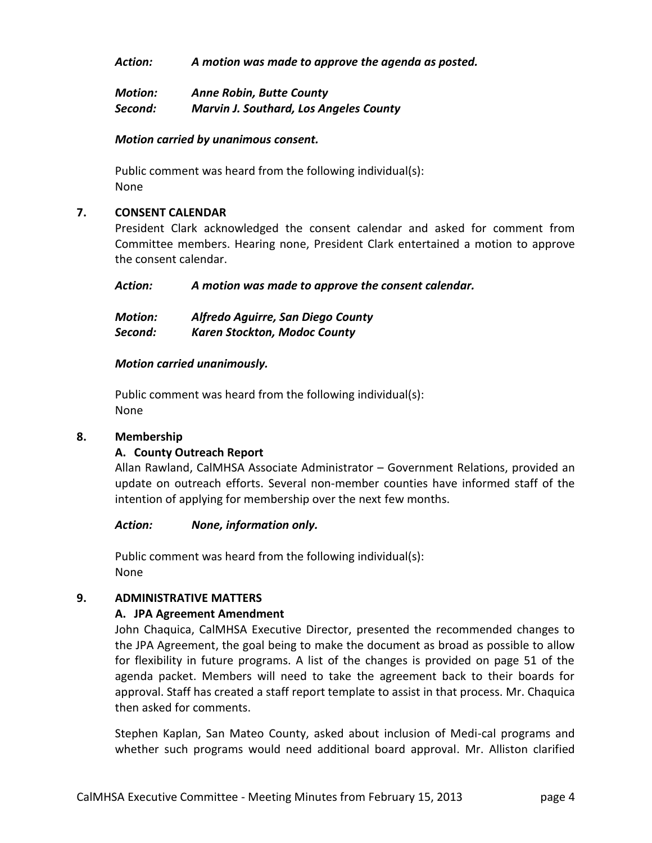*Action: A motion was made to approve the agenda as posted.*

| <b>Motion:</b> | <b>Anne Robin, Butte County</b>               |
|----------------|-----------------------------------------------|
| Second:        | <b>Marvin J. Southard, Los Angeles County</b> |

#### *Motion carried by unanimous consent.*

Public comment was heard from the following individual(s): None

### **7. CONSENT CALENDAR**

President Clark acknowledged the consent calendar and asked for comment from Committee members. Hearing none, President Clark entertained a motion to approve the consent calendar.

*Action: A motion was made to approve the consent calendar.*

| <b>Motion:</b> | Alfredo Aguirre, San Diego County   |
|----------------|-------------------------------------|
| Second:        | <b>Karen Stockton, Modoc County</b> |

### *Motion carried unanimously.*

Public comment was heard from the following individual(s): None

## **8. Membership**

## **A. County Outreach Report**

Allan Rawland, CalMHSA Associate Administrator – Government Relations, provided an update on outreach efforts. Several non-member counties have informed staff of the intention of applying for membership over the next few months.

#### *Action: None, information only.*

Public comment was heard from the following individual(s): None

#### **9. ADMINISTRATIVE MATTERS**

## **A. JPA Agreement Amendment**

John Chaquica, CalMHSA Executive Director, presented the recommended changes to the JPA Agreement, the goal being to make the document as broad as possible to allow for flexibility in future programs. A list of the changes is provided on page 51 of the agenda packet. Members will need to take the agreement back to their boards for approval. Staff has created a staff report template to assist in that process. Mr. Chaquica then asked for comments.

Stephen Kaplan, San Mateo County, asked about inclusion of Medi-cal programs and whether such programs would need additional board approval. Mr. Alliston clarified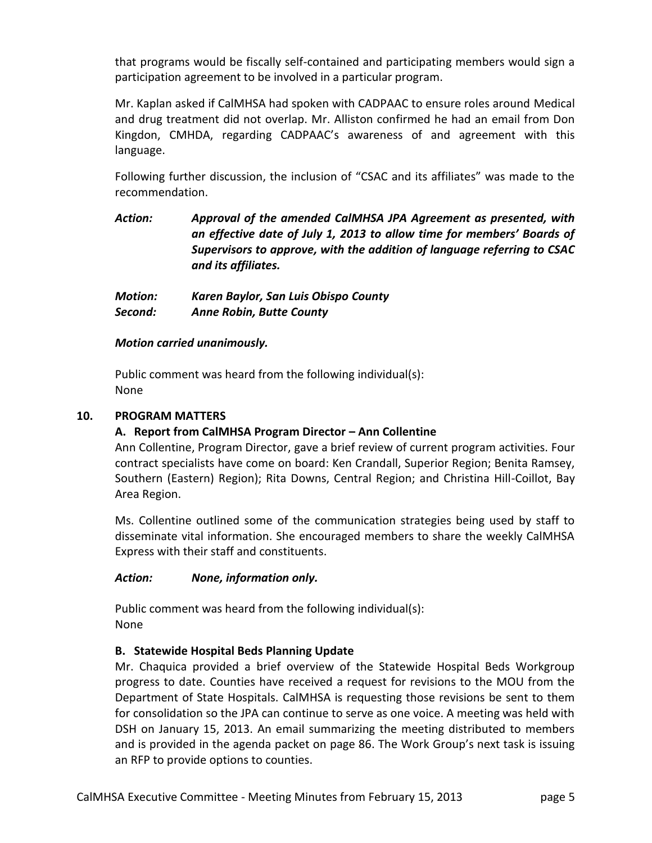that programs would be fiscally self-contained and participating members would sign a participation agreement to be involved in a particular program.

Mr. Kaplan asked if CalMHSA had spoken with CADPAAC to ensure roles around Medical and drug treatment did not overlap. Mr. Alliston confirmed he had an email from Don Kingdon, CMHDA, regarding CADPAAC's awareness of and agreement with this language.

Following further discussion, the inclusion of "CSAC and its affiliates" was made to the recommendation.

*Action: Approval of the amended CalMHSA JPA Agreement as presented, with an effective date of July 1, 2013 to allow time for members' Boards of Supervisors to approve, with the addition of language referring to CSAC and its affiliates.*

*Motion: Karen Baylor, San Luis Obispo County Second: Anne Robin, Butte County*

# *Motion carried unanimously.*

Public comment was heard from the following individual(s): None

# **10. PROGRAM MATTERS**

# **A. Report from CalMHSA Program Director – Ann Collentine**

Ann Collentine, Program Director, gave a brief review of current program activities. Four contract specialists have come on board: Ken Crandall, Superior Region; Benita Ramsey, Southern (Eastern) Region); Rita Downs, Central Region; and Christina Hill-Coillot, Bay Area Region.

Ms. Collentine outlined some of the communication strategies being used by staff to disseminate vital information. She encouraged members to share the weekly CalMHSA Express with their staff and constituents.

# *Action: None, information only.*

Public comment was heard from the following individual(s): None

# **B. Statewide Hospital Beds Planning Update**

Mr. Chaquica provided a brief overview of the Statewide Hospital Beds Workgroup progress to date. Counties have received a request for revisions to the MOU from the Department of State Hospitals. CalMHSA is requesting those revisions be sent to them for consolidation so the JPA can continue to serve as one voice. A meeting was held with DSH on January 15, 2013. An email summarizing the meeting distributed to members and is provided in the agenda packet on page 86. The Work Group's next task is issuing an RFP to provide options to counties.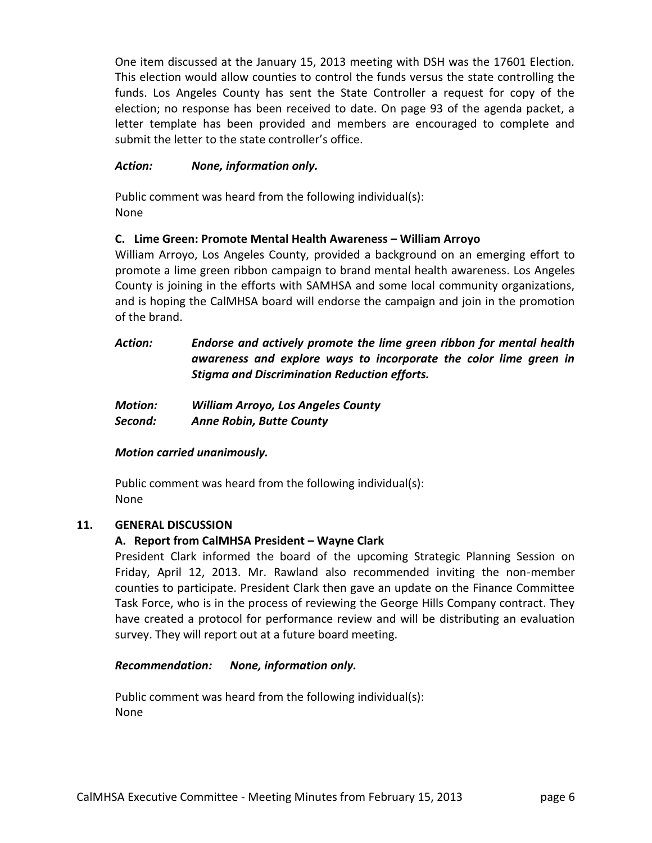One item discussed at the January 15, 2013 meeting with DSH was the 17601 Election. This election would allow counties to control the funds versus the state controlling the funds. Los Angeles County has sent the State Controller a request for copy of the election; no response has been received to date. On page 93 of the agenda packet, a letter template has been provided and members are encouraged to complete and submit the letter to the state controller's office.

# *Action: None, information only.*

Public comment was heard from the following individual(s): None

# **C. Lime Green: Promote Mental Health Awareness – William Arroyo**

William Arroyo, Los Angeles County, provided a background on an emerging effort to promote a lime green ribbon campaign to brand mental health awareness. Los Angeles County is joining in the efforts with SAMHSA and some local community organizations, and is hoping the CalMHSA board will endorse the campaign and join in the promotion of the brand.

# *Action: Endorse and actively promote the lime green ribbon for mental health awareness and explore ways to incorporate the color lime green in Stigma and Discrimination Reduction efforts.*

| <b>Motion:</b> | <b>William Arroyo, Los Angeles County</b> |
|----------------|-------------------------------------------|
| Second:        | <b>Anne Robin, Butte County</b>           |

# *Motion carried unanimously.*

Public comment was heard from the following individual(s): None

## **11. GENERAL DISCUSSION**

# **A. Report from CalMHSA President – Wayne Clark**

President Clark informed the board of the upcoming Strategic Planning Session on Friday, April 12, 2013. Mr. Rawland also recommended inviting the non-member counties to participate. President Clark then gave an update on the Finance Committee Task Force, who is in the process of reviewing the George Hills Company contract. They have created a protocol for performance review and will be distributing an evaluation survey. They will report out at a future board meeting.

## *Recommendation: None, information only.*

Public comment was heard from the following individual(s): None